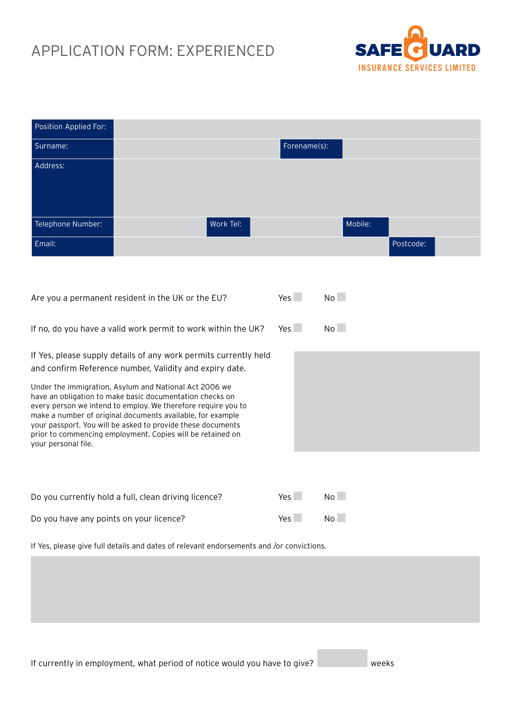# APPLICATION FORM: EXPERIENCED



| Position Applied For:                                                                                                                                                                                                                                                                                                                                                                                 |                                                                  |           |              |         |           |
|-------------------------------------------------------------------------------------------------------------------------------------------------------------------------------------------------------------------------------------------------------------------------------------------------------------------------------------------------------------------------------------------------------|------------------------------------------------------------------|-----------|--------------|---------|-----------|
| Surname:                                                                                                                                                                                                                                                                                                                                                                                              |                                                                  |           | Forename(s): |         |           |
| Address:                                                                                                                                                                                                                                                                                                                                                                                              |                                                                  |           |              |         |           |
|                                                                                                                                                                                                                                                                                                                                                                                                       |                                                                  |           |              |         |           |
|                                                                                                                                                                                                                                                                                                                                                                                                       |                                                                  |           |              |         |           |
| Telephone Number:                                                                                                                                                                                                                                                                                                                                                                                     |                                                                  | Work Tel: |              | Mobile: |           |
| Email:                                                                                                                                                                                                                                                                                                                                                                                                |                                                                  |           |              |         | Postcode: |
|                                                                                                                                                                                                                                                                                                                                                                                                       |                                                                  |           |              |         |           |
|                                                                                                                                                                                                                                                                                                                                                                                                       |                                                                  |           |              |         |           |
|                                                                                                                                                                                                                                                                                                                                                                                                       | Are you a permanent resident in the UK or the EU?                |           | Yes          | No      |           |
| If no, do you have a valid work permit to work within the UK?                                                                                                                                                                                                                                                                                                                                         |                                                                  |           | Yes          | No      |           |
|                                                                                                                                                                                                                                                                                                                                                                                                       | If Yes, please supply details of any work permits currently held |           |              |         |           |
|                                                                                                                                                                                                                                                                                                                                                                                                       | and confirm Reference number, Validity and expiry date.          |           |              |         |           |
| Under the immigration, Asylum and National Act 2006 we<br>have an obligation to make basic documentation checks on<br>every person we intend to employ. We therefore require you to<br>make a number of original documents available, for example<br>your passport. You will be asked to provide these documents<br>prior to commencing employment. Copies will be retained on<br>your personal file. |                                                                  |           |              |         |           |
|                                                                                                                                                                                                                                                                                                                                                                                                       |                                                                  |           |              |         |           |
|                                                                                                                                                                                                                                                                                                                                                                                                       |                                                                  |           |              |         |           |
| Do you currently hold a full, clean driving licence?                                                                                                                                                                                                                                                                                                                                                  |                                                                  | Yes       | No           |         |           |
| Do you have any points on your licence?                                                                                                                                                                                                                                                                                                                                                               |                                                                  |           | Yes          | No      |           |
|                                                                                                                                                                                                                                                                                                                                                                                                       |                                                                  |           |              |         |           |

If Yes, please give full details and dates of relevant endorsements and /or convictions.

If currently in employment, what period of notice would you have to give? weeks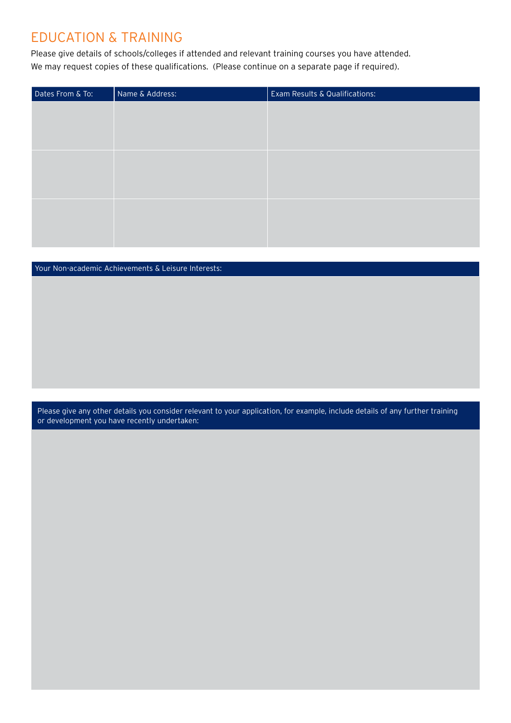## Education & Training

Please give details of schools/colleges if attended and relevant training courses you have attended. We may request copies of these qualifications. (Please continue on a separate page if required).

| Dates From & To: | Name & Address: | Exam Results & Qualifications: |
|------------------|-----------------|--------------------------------|
|                  |                 |                                |
|                  |                 |                                |
|                  |                 |                                |
|                  |                 |                                |
|                  |                 |                                |
|                  |                 |                                |
|                  |                 |                                |
|                  |                 |                                |
|                  |                 |                                |

#### Your Non-academic Achievements & Leisure Interests:

Please give any other details you consider relevant to your application, for example, include details of any further training or development you have recently undertaken: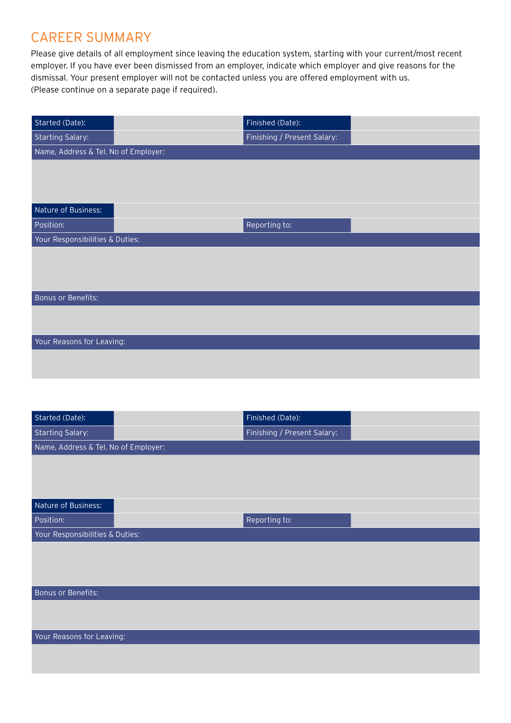### career summary

Please give details of all employment since leaving the education system, starting with your current/most recent employer. If you have ever been dismissed from an employer, indicate which employer and give reasons for the dismissal. Your present employer will not be contacted unless you are offered employment with us. (Please continue on a separate page if required).

| Started (Date):                      | Finished (Date):            |  |
|--------------------------------------|-----------------------------|--|
| <b>Starting Salary:</b>              | Finishing / Present Salary: |  |
| Name, Address & Tel. No of Employer: |                             |  |
|                                      |                             |  |
|                                      |                             |  |
|                                      |                             |  |
| Nature of Business:                  |                             |  |
| Position:                            | Reporting to:               |  |
| Your Responsibilities & Duties:      |                             |  |
|                                      |                             |  |
|                                      |                             |  |
|                                      |                             |  |
| <b>Bonus or Benefits:</b>            |                             |  |
|                                      |                             |  |
|                                      |                             |  |
| Your Reasons for Leaving:            |                             |  |
|                                      |                             |  |
|                                      |                             |  |

| Started (Date):                      | Finished (Date):            |  |  |  |  |  |
|--------------------------------------|-----------------------------|--|--|--|--|--|
| <b>Starting Salary:</b>              | Finishing / Present Salary: |  |  |  |  |  |
| Name, Address & Tel. No of Employer: |                             |  |  |  |  |  |
|                                      |                             |  |  |  |  |  |
|                                      |                             |  |  |  |  |  |
|                                      |                             |  |  |  |  |  |
| Nature of Business:                  |                             |  |  |  |  |  |
| Position:                            | Reporting to:               |  |  |  |  |  |
| Your Responsibilities & Duties:      |                             |  |  |  |  |  |
|                                      |                             |  |  |  |  |  |
|                                      |                             |  |  |  |  |  |
|                                      |                             |  |  |  |  |  |
| Bonus or Benefits:                   |                             |  |  |  |  |  |
|                                      |                             |  |  |  |  |  |
|                                      |                             |  |  |  |  |  |
| Your Reasons for Leaving:            |                             |  |  |  |  |  |
|                                      |                             |  |  |  |  |  |
|                                      |                             |  |  |  |  |  |
|                                      |                             |  |  |  |  |  |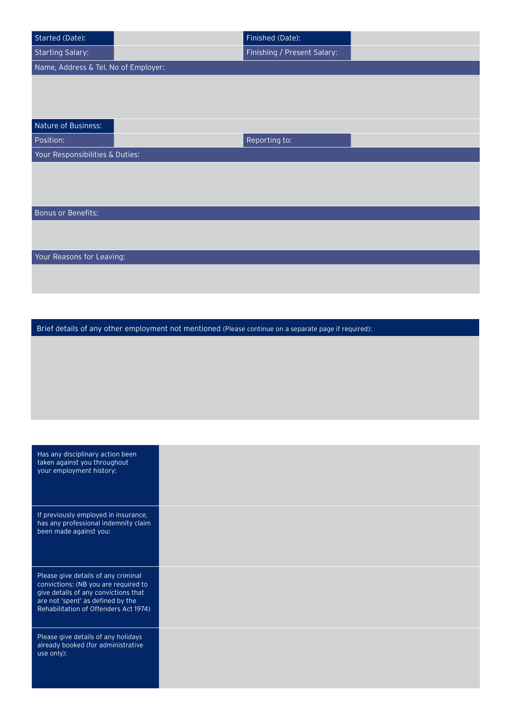| Started (Date):                                                              | Finished (Date):                                                                                      |  |
|------------------------------------------------------------------------------|-------------------------------------------------------------------------------------------------------|--|
| <b>Starting Salary:</b>                                                      | Finishing / Present Salary:                                                                           |  |
| Name, Address & Tel. No of Employer:                                         |                                                                                                       |  |
|                                                                              |                                                                                                       |  |
|                                                                              |                                                                                                       |  |
|                                                                              |                                                                                                       |  |
| Nature of Business:                                                          |                                                                                                       |  |
| Position:                                                                    | Reporting to:                                                                                         |  |
| Your Responsibilities & Duties:                                              |                                                                                                       |  |
|                                                                              |                                                                                                       |  |
|                                                                              |                                                                                                       |  |
|                                                                              |                                                                                                       |  |
| Bonus or Benefits:                                                           |                                                                                                       |  |
|                                                                              |                                                                                                       |  |
|                                                                              |                                                                                                       |  |
| Your Reasons for Leaving:                                                    |                                                                                                       |  |
|                                                                              |                                                                                                       |  |
|                                                                              |                                                                                                       |  |
|                                                                              |                                                                                                       |  |
|                                                                              |                                                                                                       |  |
|                                                                              | Brief details of any other employment not mentioned (Please continue on a separate page if required): |  |
|                                                                              |                                                                                                       |  |
|                                                                              |                                                                                                       |  |
|                                                                              |                                                                                                       |  |
|                                                                              |                                                                                                       |  |
|                                                                              |                                                                                                       |  |
|                                                                              |                                                                                                       |  |
|                                                                              |                                                                                                       |  |
|                                                                              |                                                                                                       |  |
| Has any disciplinary action been                                             |                                                                                                       |  |
| taken against you throughout<br>your employment history:                     |                                                                                                       |  |
|                                                                              |                                                                                                       |  |
|                                                                              |                                                                                                       |  |
|                                                                              |                                                                                                       |  |
| If previously employed in insurance,<br>has any professional indemnity claim |                                                                                                       |  |

| Please give details of any criminal   |
|---------------------------------------|
| convictions: (NB you are required to  |
| give details of any convictions that  |
| are not 'spent' as defined by the     |
| Rehabilitation of Offenders Act 1974) |
|                                       |

been made against you:

Please give details of any holidays already booked (for administrative use only):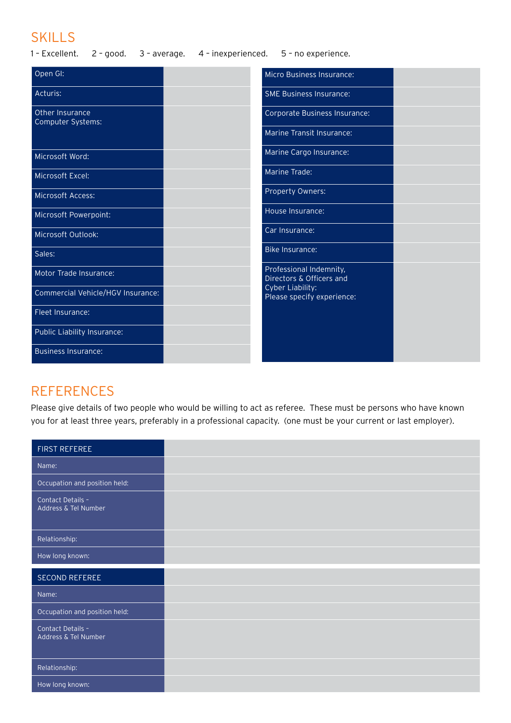## **SKILLS**

1 – Excellent. 2 – good. 3 – average. 4 – inexperienced. 5 – no experience.

| Open GI:                             | Micro Business Insurance:                           |  |
|--------------------------------------|-----------------------------------------------------|--|
| Acturis:                             | <b>SME Business Insurance:</b>                      |  |
| Other Insurance<br>Computer Systems: | Corporate Business Insurance:                       |  |
|                                      | Marine Transit Insurance:                           |  |
| Microsoft Word:                      | Marine Cargo Insurance:                             |  |
| Microsoft Excel:                     | Marine Trade:                                       |  |
| Microsoft Access:                    | Property Owners:                                    |  |
| Microsoft Powerpoint:                | House Insurance:                                    |  |
| Microsoft Outlook:                   | Car Insurance:                                      |  |
| Sales:                               | <b>Bike Insurance:</b>                              |  |
| Motor Trade Insurance:               | Professional Indemnity,<br>Directors & Officers and |  |
| Commercial Vehicle/HGV Insurance:    | Cyber Liability:<br>Please specify experience:      |  |
| Fleet Insurance:                     |                                                     |  |
| Public Liability Insurance:          |                                                     |  |
| <b>Business Insurance:</b>           |                                                     |  |

# **REFERENCES**

Please give details of two people who would be willing to act as referee. These must be persons who have known you for at least three years, preferably in a professional capacity. (one must be your current or last employer).

| <b>FIRST REFEREE</b>                      |  |
|-------------------------------------------|--|
| Name:                                     |  |
| Occupation and position held:             |  |
| Contact Details -<br>Address & Tel Number |  |
| Relationship:                             |  |
| How long known:                           |  |
|                                           |  |
| <b>SECOND REFEREE</b>                     |  |
| Name:                                     |  |
| Occupation and position held:             |  |
| Contact Details -<br>Address & Tel Number |  |
| Relationship:                             |  |